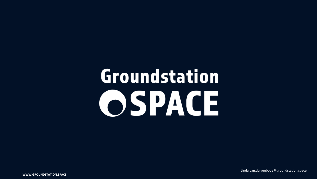# Groundstation OSPACE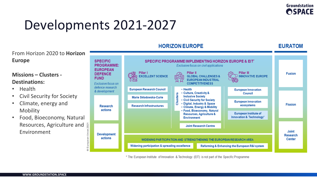**EURATOM** 

# Developments 2021-2027

From Horizon 2020 to **Horizon Europe**

### **Missions – Clusters - Destinations:**

- Health
- Civil Security for Society
- Climate, energy and Mobility
- Food, Bioeconomy, Natural Resources, Agriculture and Environment



\* The European Institute of Innovation & Technology (EIT) is not part of the Specific Programme

**HORIZON EUROPE**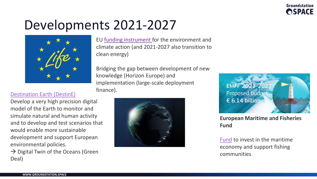

### Developments 2021-2027



EU [funding instrument](https://ec.europa.eu/easme/en/life) for the environment and climate action (and 2021-2027 also transition to clean energy)

Bridging the gap between development of new knowledge (Horizon Europe) and implementation (large-scale deployment finance).

#### [Destination Earth \(DestinE\)](https://ec.europa.eu/digital-single-market/en/destination-earth-destine)

Develop a very high precision digital model of the Earth to monitor and simulate natural and human activity and to develop and test scenarios that would enable more sustainable development and support European environmental policies.

 $\rightarrow$  Digital Twin of the Oceans (Green Deal)





**European Maritime and Fisheries Fund** 

[Fund](https://ec.europa.eu/commission/presscorner/detail/en/IP_18_4104) to invest in the maritime economy and support fishing communities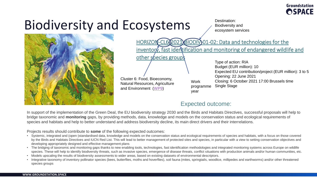### Biodiversity and Ecosystems



HORIZON-CL602021) BIODIV 01-02: Data and technologies for the inventory, fast identification and monitoring of endangered wildlife and other species groups Type of action: RIA Budget (EUR million): 10 ecosystem services

Destination: Biodiversity and

Cluster 6: Food, Bioeconomy, Natural Resources, Agriculture and Environment ([WP9\)](https://ec.europa.eu/info/funding-tenders/opportunities/docs/2021-2027/horizon/wp-call/2021-2022/wp-9-food-bioeconomy-natural-resources-agriculture-and-environment_horizon-2021-2022_en.pdf)

Work programme year

Expected EU contribution/project (EUR million): 3 to 5 Opening: 22 June 2021 Closing: 6 October 2021 17:00 Brussels time Single Stage

### Expected outcome:

In support of the implementation of the Green Deal, the EU biodiversity strategy 2030 and the Birds and Habitats Directives, successful proposals will help to bridge taxonomic and **monitoring** gaps, by providing methods, data, knowledge and models on the conservation status and ecological requirements of species and habitats and help to better understand and address biodiversity decline, its main direct drivers and their interrelations.

Projects results should contribute to **some** of the following expected outcomes:

- Systemic, integrated and (open-)standardised data, knowledge and models on the conservation status and ecological requirements of species and habitats, with a focus on those covered by the Birds and Habitats Directives and IUCN Red List. This will lead to better management of protected sites and species, in particular with a view to setting conservation objectives and developing appropriately designed and effective management plans
- The bridging of taxonomic and monitoring gaps thanks to new enabling tools, technologies, fast identification methodologies and integrated monitoring systems across Europe on wildlife species. These will help to identify biodiversity threats, such as invasive species, emergence of disease threats, conflict situations with production animals and/or human communities, etc.
- Models upscaling the results of biodiversity assessments to wider areas, based on existing datasets of environmental descriptors.
- Integrative taxonomy of inventory pollinator species (bees, butterflies, moths and hoverflies), soil fauna (mites, springtails, woodlice, millipedes and earthworms) and/or other threatened species groups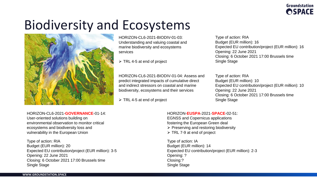# Biodiversity and Ecosystems



HORIZON-CL6-2021-BIODIV-01-03: Understanding and valuing coastal and marine biodiversity and ecosystems services

➢ TRL 4-5 at end of project

HORIZON-CL6-2021-BIODIV-01-04: Assess and predict integrated impacts of cumulative direct and indirect stressors on coastal and marine biodiversity, ecosystems and their services

➢ TRL 4-5 at end of project

Type of action: RIA Budget (EUR million): 16 Expected EU contribution/project (EUR million): 16 Opening: 22 June 2021 Closing: 6 October 2021 17:00 Brussels time Single Stage

Type of action: RIA Budget (EUR million): 10 Expected EU contribution/project (EUR million): 10 Opening: 22 June 2021 Closing: 6 October 2021 17:00 Brussels time Single Stage

HORIZON-CL6-2021-**GOVERNANCE**-01-14: User-oriented solutions building on environmental observation to monitor critical ecosystems and biodiversity loss and vulnerability in the European Union

Type of action: RIA Budget (EUR million): 20 Expected EU contribution/project (EUR million): 3-5 Opening: 22 June 2021 Closing: 6 October 2021 17:00 Brussels time Single Stage

HORIZON-**EUSPA**-2021-**SPACE**-02-51: EGNSS and Copernicus applications fostering the European Green deal ➢ Preserving and restoring biodiversity ➢ TRL 7-9 at end of project

Type of action: IA Budget (EUR million): 14 Expected EU contribution/project (EUR million): 2-3 Opening: ? Closing:? Single Stage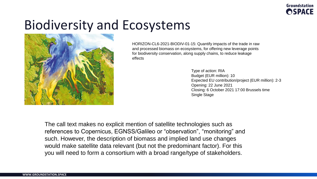### Biodiversity and Ecosystems



HORIZON-CL6-2021-BIODIV-01-15: Quantify impacts of the trade in raw and processed biomass on ecosystems, for offering new leverage points for biodiversity conservation, along supply chains, to reduce leakage effects

> Type of action: RIA Budget (EUR million): 10 Expected EU contribution/project (EUR million): 2-3 Opening: 22 June 2021 Closing: 6 October 2021 17:00 Brussels time Single Stage

The call text makes no explicit mention of satellite technologies such as references to Copernicus, EGNSS/Galileo or "observation", "monitoring" and such. However, the description of biomass and implied land use changes would make satellite data relevant (but not the predominant factor). For this you will need to form a consortium with a broad range/type of stakeholders.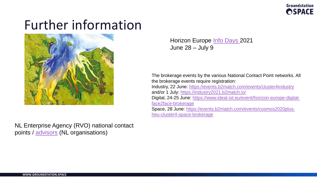### Further information



NL Enterprise Agency (RVO) national contact points / [advisors](https://english.rvo.nl/subsidies-programmes/horizon-europe-research-and-innovation/horizon-europe-overview-advisors) (NL organisations)

Horizon Europe [Info Days 2](https://www.horizon-europe-infodays2021.eu/)021 June 28 – July 9

The brokerage events by the various National Contact Point networks. All the brokerage events require registration: Industry, 22 June: [https://events.b2match.com/events/cluster4industry](https://eur01.safelinks.protection.outlook.com/?url=https%3A%2F%2Fevents.b2match.com%2Fevents%2Fcluster4industry&data=04%7C01%7Ckid%40forskningsradet.no%7C2ee050c3d7e94d0a636c08d9309ef07f%7Ca9b1388299a64b289368b64c69bf0256%7C1%7C0%7C637594281524009457%7CUnknown%7CTWFpbGZsb3d8eyJWIjoiMC4wLjAwMDAiLCJQIjoiV2luMzIiLCJBTiI6Ik1haWwiLCJXVCI6Mn0%3D%7C1000&sdata=lX%2FSpXkIeQKNLuxeDikvUc%2Fs75DnTCRK8c%2FCzbkR3tA%3D&reserved=0) and/or 1 July: <https://industry2021.b2match.io/> Digital, 24-25 June: [https://www.ideal-ist.eu/event/horizon-europe-digital](https://eur01.safelinks.protection.outlook.com/?url=https%3A%2F%2Fwww.ideal-ist.eu%2Fevent%2Fhorizon-europe-digital-face2face-brokerage&data=04%7C01%7Ckid%40forskningsradet.no%7C2ee050c3d7e94d0a636c08d9309ef07f%7Ca9b1388299a64b289368b64c69bf0256%7C1%7C0%7C637594281524019410%7CUnknown%7CTWFpbGZsb3d8eyJWIjoiMC4wLjAwMDAiLCJQIjoiV2luMzIiLCJBTiI6Ik1haWwiLCJXVCI6Mn0%3D%7C1000&sdata=qHFpsczPy8M%2BleL%2Bf4%2FbmDAywh7HoKM%2FW3WgnQCrwz4%3D&reserved=0)face2face-brokerage Space, 28 June: [https://events.b2match.com/events/cosmos2020plus](https://eur01.safelinks.protection.outlook.com/?url=https%3A%2F%2Fevents.b2match.com%2Fevents%2Fcosmos2020plus-heu-cluster4-space-brokerage&data=04%7C01%7Ckid%40forskningsradet.no%7C2ee050c3d7e94d0a636c08d9309ef07f%7Ca9b1388299a64b289368b64c69bf0256%7C1%7C0%7C637594281524019410%7CUnknown%7CTWFpbGZsb3d8eyJWIjoiMC4wLjAwMDAiLCJQIjoiV2luMzIiLCJBTiI6Ik1haWwiLCJXVCI6Mn0%3D%7C1000&sdata=IYNQheD3tuRD3oD%2BAcSCOyKrYLV25wHhCsUBedROWEc%3D&reserved=0)heu-cluster4-space-brokerage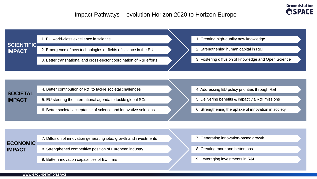

|                                    | 1. EU world-class excellence in science                              | 1. Creating high-quality new knowledge               |
|------------------------------------|----------------------------------------------------------------------|------------------------------------------------------|
| <b>SCIENTIFIC</b><br><b>IMPACT</b> | 2. Emergence of new technologies or fields of science in the EU      | 2. Strengthening human capital in R&I                |
|                                    | 3. Better transnational and cross-sector coordination of R&I efforts | 3. Fostering diffusion of knowledge and Open Science |
|                                    |                                                                      |                                                      |
|                                    |                                                                      |                                                      |
| <b>SOCIETAL</b>                    | 4. Better contribution of R&I to tackle societal challenges          | 4. Addressing EU policy priorities through R&I       |

- 5. EU steering the international agenda to tackle global SCs
- 6. Better societal acceptance of science and innovative solutions
- 5. Delivering benefits & impact via R&I missions
- 6. Strengthening the uptake of innovation in society

|                                  | 7. Diffusion of innovation generating jobs, growth and investments |  |
|----------------------------------|--------------------------------------------------------------------|--|
| <b>ECONOMIC</b><br><b>IMPACT</b> | 8. Strengthened competitive position of European industry          |  |
|                                  |                                                                    |  |

9. Better innovation capabilities of EU firms

- 7. Generating innovation-based growth
- 8. Creating more and better jobs
- 9. Leveraging investments in R&I

**IMPACT**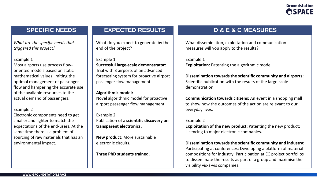*What are the specific needs that triggered this project?* 

#### Example 1

Most airports use process floworiented models based on static mathematical values limiting the optimal management of passenger flow and hampering the accurate use of the available resources to the actual demand of passengers.

#### Example 2

Electronic components need to get smaller and lighter to match the expectations of the end-users. At the same time there is a problem of sourcing of raw materials that has an environmental impact.

What do you expect to generate by the end of the project?

Example 1 **Successful large-scale demonstrator:**  Trial with 3 airports of an advanced forecasting system for proactive airport passenger flow management.

#### **Algorithmic model:**

Novel algorithmic model for proactive airport passenger flow management.

Example 2 Publication of a **scientific discovery on transparent electronics.** 

**New product:** More sustainable electronic circuits.

**Three PhD students trained.** 

### **SPECIFIC NEEDS EXPECTED RESULTS D & E & C MEASURES**

What dissemination, exploitation and communication measures will you apply to the results?

Example 1 **Exploitation:** Patenting the algorithmic model.

**Dissemination towards the scientific community and airports**: Scientific publication with the results of the large-scale demonstration.

**Communication towards citizens:** An event in a shopping mall to show how the outcomes of the action are relevant to our everyday lives.

#### Example 2

**Exploitation of the new product:** Patenting the new product; Licencing to major electronic companies.

**Dissemination towards the scientific community and industry:** 

Participating at conferences; Developing a platform of material compositions for industry; Participation at EC project portfolios to disseminate the results as part of a group and maximise the visibility vis-à-vis companies.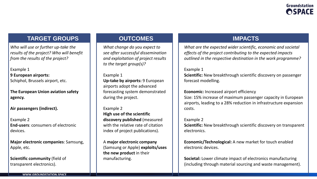### **TARGET GROUPS OUTCOMES IMPACTS**

*Who will use or further up-take the results of the project? Who will benefit from the results of the project?* 

Example 1 **9 European airports:**  Schiphol, Brussels airport, etc.

**The European Union aviation safety agency.** 

**Air passengers (indirect).** 

Example 2 **End-users**: consumers of electronic devices.

**Major electronic companies**: Samsung, Apple, etc.

**Scientific community** (field of transparent electronics).

*What change do you expect to see after successful dissemination and exploitation of project results to the target group(s)?* 

Example 1 **Up-take by airports:** 9 European airports adopt the advanced forecasting system demonstrated during the project.

#### Example 2 **High use of the scientific discovery published** (measured with the relative rate of citation index of project publications).

A **major electronic company**  (Samsung or Apple) **exploits/uses the new product** in their manufacturing.

*What are the expected wider scientific, economic and societal effects of the project contributing to the expected impacts outlined in the respective destination in the work programme?* 

#### Example 1

**Scientific:** New breakthrough scientific discovery on passenger forecast modelling.

#### **Economic:** Increased airport efficiency

Size: 15% increase of maximum passenger capacity in European airports, leading to a 28% reduction in infrastructure expansion costs.

#### Example 2

**Scientific:** New breakthrough scientific discovery on transparent electronics.

**Economic/Technological:** A new market for touch enabled electronic devices.

**Societal:** Lower climate impact of electronics manufacturing (including through material sourcing and waste management).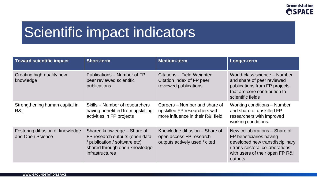# Scientific impact indicators

| Toward scientific impact                             | <b>Short-term</b>                                                                                                                                         | <b>Medium-term</b>                                                                                  | Longer-term                                                                                                                                                                  |
|------------------------------------------------------|-----------------------------------------------------------------------------------------------------------------------------------------------------------|-----------------------------------------------------------------------------------------------------|------------------------------------------------------------------------------------------------------------------------------------------------------------------------------|
| Creating high-quality new<br>knowledge               | Publications – Number of FP<br>peer reviewed scientific<br>publications                                                                                   | Citations - Field-Weighted<br>Citation Index of FP peer<br>reviewed publications                    | World-class science - Number<br>and share of peer reviewed<br>publications from FP projects<br>that are core contribution to<br>scientific fields                            |
| Strengthening human capital in<br>R&I                | Skills – Number of researchers<br>having benefitted from upskilling<br>activities in FP projects                                                          | Careers - Number and share of<br>upskilled FP researchers with<br>more influence in their R&I field | <b>Working conditions - Number</b><br>and share of upskilled FP<br>researchers with improved<br>working conditions                                                           |
| Fostering diffusion of knowledge<br>and Open Science | Shared knowledge – Share of<br>FP research outputs (open data<br>/ publication / software etc)<br>shared through open knowledge<br><b>infrastructures</b> | Knowledge diffusion - Share of<br>open access FP research<br>outputs actively used / cited          | New collaborations - Share of<br>FP beneficiaries having<br>developed new transdisciplinary<br>/ trans-sectoral collaborations<br>with users of their open FP R&I<br>outputs |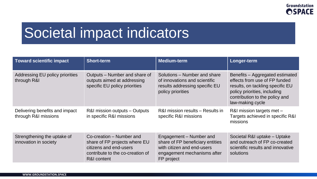### Societal impact indicators

| Toward scientific impact                               | <b>Short-term</b>                                                                                                                      | <b>Medium-term</b>                                                                                                                     | Longer-term                                                                                                                                                                                |
|--------------------------------------------------------|----------------------------------------------------------------------------------------------------------------------------------------|----------------------------------------------------------------------------------------------------------------------------------------|--------------------------------------------------------------------------------------------------------------------------------------------------------------------------------------------|
| Addressing EU policy priorities<br>through R&I         | Outputs – Number and share of<br>outputs aimed at addressing<br>specific EU policy priorities                                          | Solutions – Number and share<br>of innovations and scientific<br>results addressing specific EU<br>policy priorities                   | Benefits - Aggregated estimated<br>effects from use of FP funded<br>results, on tackling specific EU<br>policy priorities, including<br>contribution to the policy and<br>law-making cycle |
| Delivering benefits and impact<br>through R&I missions | R&I mission outputs – Outputs<br>in specific R&I missions                                                                              | R&I mission results – Results in<br>specific R&I missions                                                                              | R&I mission targets met -<br>Targets achieved in specific R&I<br>missions                                                                                                                  |
| Strengthening the uptake of<br>innovation in society   | Co-creation – Number and<br>share of FP projects where EU<br>citizens and end-users<br>contribute to the co-creation of<br>R&I content | Engagement – Number and<br>share of FP beneficiary entities<br>with citizen and end-users<br>engagement mechanisms after<br>FP project | Societal R&I uptake - Uptake<br>and outreach of FP co-created<br>scientific results and innovative<br>solutions                                                                            |